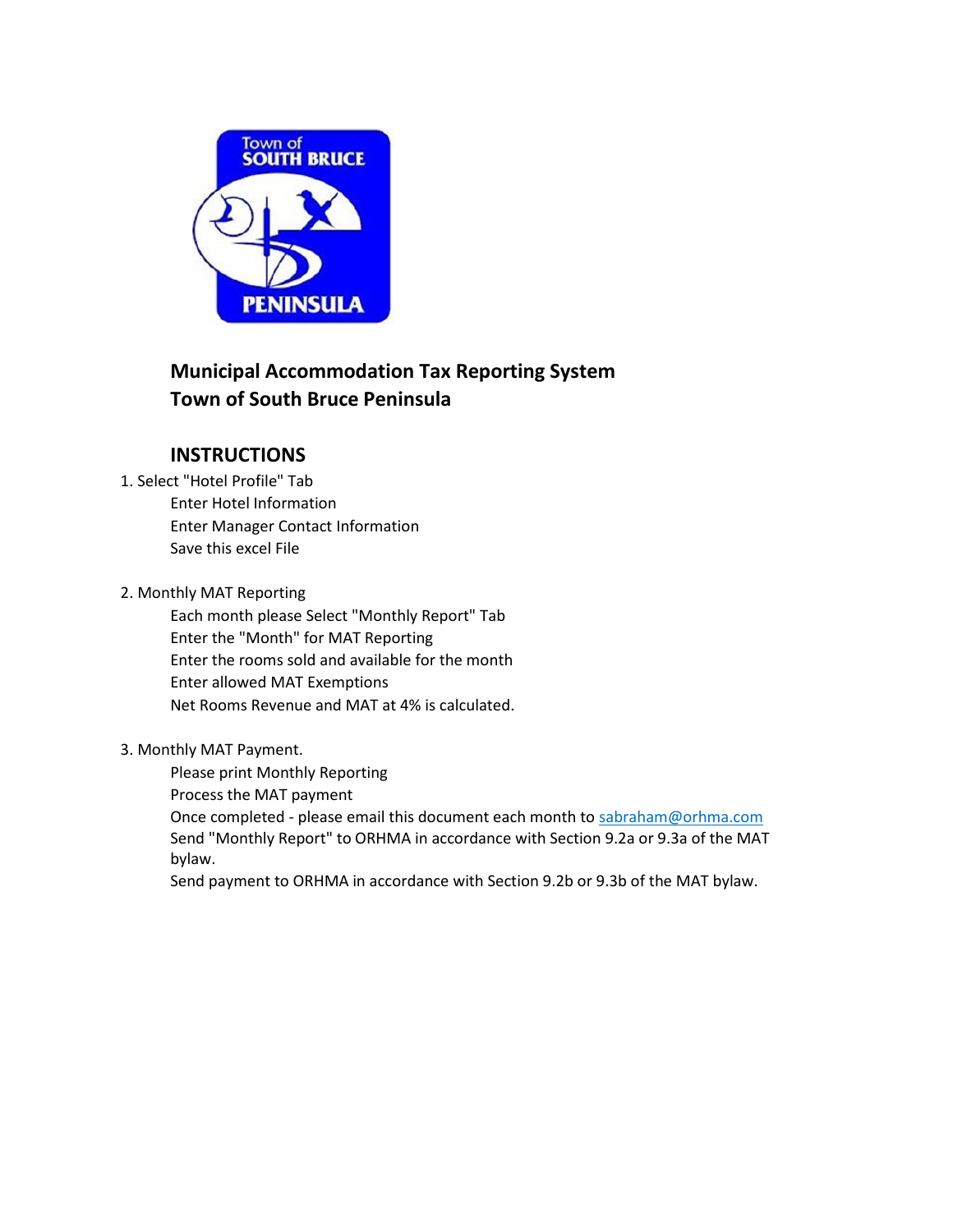

# **Municipal Accommodation Tax Reporting System Town of South Bruce Peninsula**

## **INSTRUCTIONS**

- 1. Select "Hotel Profile" Tab Enter Hotel Information Enter Manager Contact Information Save this excel File
- 2. Monthly MAT Reporting

Each month please Select "Monthly Report" Tab Enter the "Month" for MAT Reporting Enter the rooms sold and available for the month Enter allowed MAT Exemptions Net Rooms Revenue and MAT at 4% is calculated.

#### 3. Monthly MAT Payment.

Please print Monthly Reporting

Process the MAT payment

Once completed - please email this document each month to sabraham@orhma.com Send "Monthly Report" to ORHMA in accordance with Section 9.2a or 9.3a of the MAT bylaw.

Send payment to ORHMA in accordance with Section 9.2b or 9.3b of the MAT bylaw.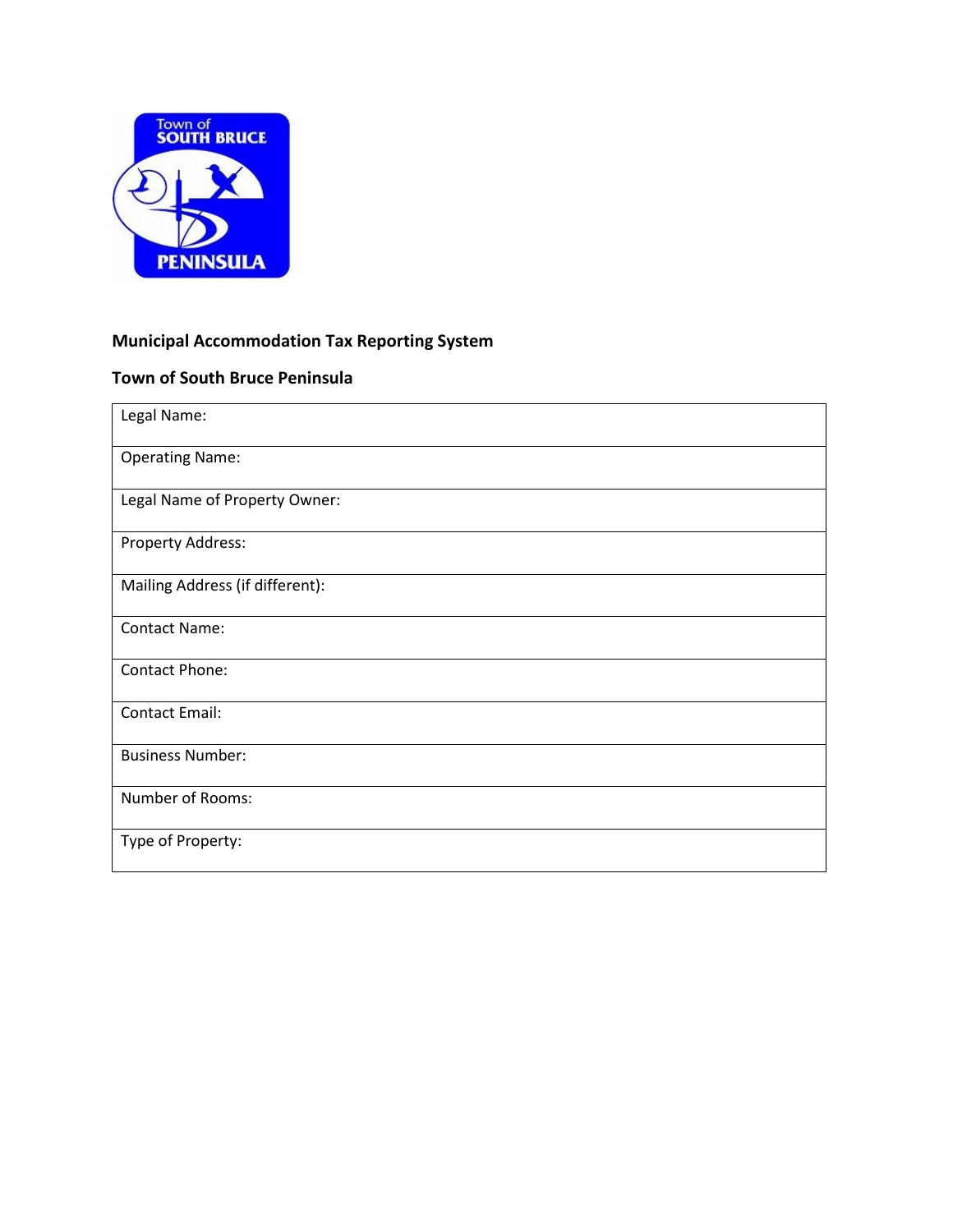

## **Municipal Accommodation Tax Reporting System**

### **Town of South Bruce Peninsula**

| Legal Name:                     |
|---------------------------------|
| <b>Operating Name:</b>          |
| Legal Name of Property Owner:   |
| Property Address:               |
| Mailing Address (if different): |
| <b>Contact Name:</b>            |
| <b>Contact Phone:</b>           |
| <b>Contact Email:</b>           |
| <b>Business Number:</b>         |
| Number of Rooms:                |
| Type of Property:               |